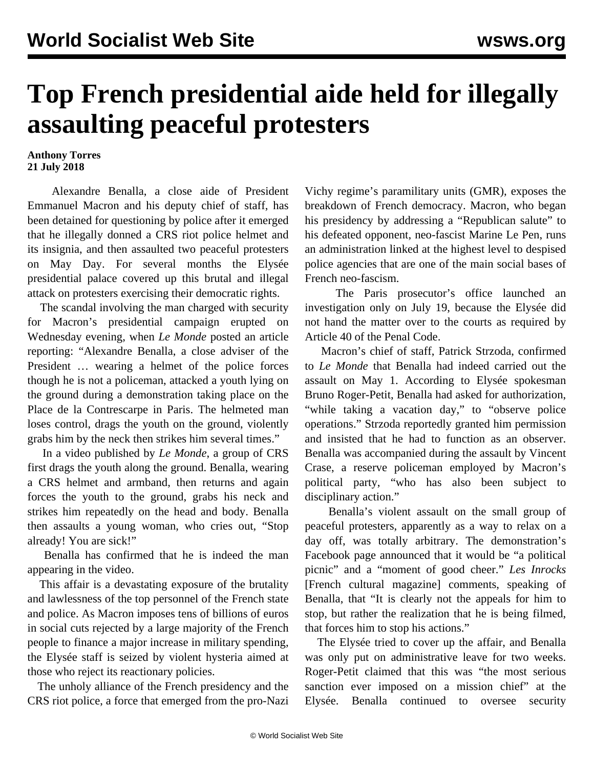## **Top French presidential aide held for illegally assaulting peaceful protesters**

## **Anthony Torres 21 July 2018**

 Alexandre Benalla, a close aide of President Emmanuel Macron and his deputy chief of staff, has been detained for questioning by police after it emerged that he illegally donned a CRS riot police helmet and its insignia, and then assaulted two peaceful protesters on May Day. For several months the Elysée presidential palace covered up this brutal and illegal attack on protesters exercising their democratic rights.

 The scandal involving the man charged with security for Macron's presidential campaign erupted on Wednesday evening, when *Le Monde* posted an article reporting: "Alexandre Benalla, a close adviser of the President … wearing a helmet of the police forces though he is not a policeman, attacked a youth lying on the ground during a demonstration taking place on the Place de la Contrescarpe in Paris. The helmeted man loses control, drags the youth on the ground, violently grabs him by the neck then strikes him several times."

 In a [video](https://www.youtube.com/watch?v=3LKiETDC6oU) published by *Le Monde*, a group of CRS first drags the youth along the ground. Benalla, wearing a CRS helmet and armband, then returns and again forces the youth to the ground, grabs his neck and strikes him repeatedly on the head and body. Benalla then assaults a young woman, who cries out, "Stop already! You are sick!"

 Benalla has confirmed that he is indeed the man appearing in the video.

 This affair is a devastating exposure of the brutality and lawlessness of the top personnel of the French state and police. As Macron imposes tens of billions of euros in social cuts rejected by a large majority of the French people to finance a major increase in military spending, the Elysée staff is seized by violent hysteria aimed at those who reject its reactionary policies.

 The unholy alliance of the French presidency and the CRS riot police, a force that emerged from the pro-Nazi Vichy regime's paramilitary units (GMR), exposes the breakdown of French democracy. Macron, who began his presidency by addressing a "Republican salute" to his defeated opponent, neo-fascist Marine Le Pen, runs an administration linked at the highest level to despised police agencies that are one of the main social bases of French neo-fascism.

 The Paris prosecutor's office launched an investigation only on July 19, because the Elysée did not hand the matter over to the courts as required by Article 40 of the Penal Code.

 Macron's chief of staff, Patrick Strzoda, confirmed to *Le Monde* that Benalla had indeed carried out the assault on May 1. According to Elysée spokesman Bruno Roger-Petit, Benalla had asked for authorization, "while taking a vacation day," to "observe police operations." Strzoda reportedly granted him permission and insisted that he had to function as an observer. Benalla was accompanied during the assault by Vincent Crase, a reserve policeman employed by Macron's political party, "who has also been subject to disciplinary action."

 Benalla's violent assault on the small group of peaceful protesters, apparently as a way to relax on a day off, was totally arbitrary. The demonstration's Facebook page announced that it would be "a political picnic" and a "moment of good cheer." *Les Inrocks* [French cultural magazine] comments, speaking of Benalla, that "It is clearly not the appeals for him to stop, but rather the realization that he is being filmed, that forces him to stop his actions."

 The Elysée tried to cover up the affair, and Benalla was only put on administrative leave for two weeks. Roger-Petit claimed that this was "the most serious sanction ever imposed on a mission chief" at the Elysée. Benalla continued to oversee security